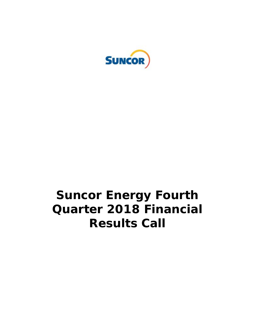

# **Suncor Energy Fourth Quarter 2018 Financial Results Call**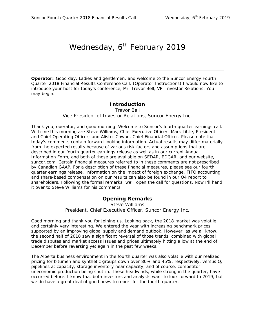# Wednesday, 6<sup>th</sup> February 2019

**Operator:** Good day, Ladies and gentlemen, and welcome to the Suncor Energy Fourth Quarter 2018 Financial Results Conference Call. (Operator Instructions) I would now like to introduce your host for today's conference, Mr. Trevor Bell, VP, Investor Relations. You may begin.

## **Introduction**

Trevor Bell

#### *Vice President of Investor Relations, Suncor Energy Inc.*

Thank you, operator, and good morning. Welcome to Suncor's fourth quarter earnings call. With me this morning are Steve Williams, Chief Executive Officer; Mark Little, President and Chief Operating Officer; and Alister Cowan, Chief Financial Officer. Please note that today's comments contain forward-looking information. Actual results may differ materially from the expected results because of various risk factors and assumptions that are described in our fourth quarter earnings release as well as in our current Annual Information Form, and both of those are available on SEDAR, EDGAR, and our website, suncor.com. Certain financial measures referred to in these comments are not prescribed by Canadian GAAP. For a description of these financial measures, please see our fourth quarter earnings release. Information on the impact of foreign exchange, FIFO accounting and share-based compensation on our results can also be found in our Q4 report to shareholders. Following the formal remarks, we'll open the call for questions. Now I'll hand it over to Steve Williams for his comments.

# **Opening Remarks**

Steve Williams *President, Chief Executive Officer, Suncor Energy Inc.*

Good morning and thank you for joining us. Looking back, the 2018 market was volatile and certainly very interesting. We entered the year with increasing benchmark prices supported by an improving global supply and demand outlook. However, as we all know, the second half of 2018 saw a significant reversal of those trends, combined with global trade disputes and market access issues and prices ultimately hitting a low at the end of December before reversing yet again in the past few weeks.

The Alberta business environment in the fourth quarter was also volatile with our realized pricing for bitumen and synthetic groups down over 80% and 45%, respectively, versus Q; pipelines at capacity, storage inventory near capacity, and of course, competitor uneconomic production being shut-in. These headwinds, while strong in the quarter, have occurred before. I know that both investors and analysts want to look forward to 2019, but we do have a great deal of good news to report for the fourth quarter.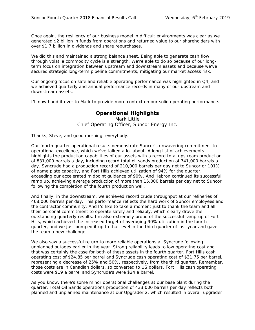Once again, the resiliency of our business model in difficult environments was clear as we generated \$2 billion in funds from operations and returned value to our shareholders with over \$1.7 billion in dividends and share repurchases.

We did this and maintained a strong balance sheet. Being able to generate cash flow through volatile commodity cycle is a strength. We're able to do so because of our longterm focus on integration between upstream and downstream assets and because we've secured strategic long-term pipeline commitments, mitigating our market access risk.

Our ongoing focus on safe and reliable operating performance was highlighted in Q4, and we achieved quarterly and annual performance records in many of our upstream and downstream assets.

I'll now hand it over to Mark to provide more context on our solid operating performance.

# **Operational Highlights**

Mark Little *Chief Operating Officer, Suncor Energy Inc.*

Thanks, Steve, and good morning, everybody.

Our fourth quarter operational results demonstrate Suncor's unwavering commitment to operational excellence, which we've talked a lot about. A long list of achievements highlights the production capabilities of our assets with a record total upstream production of 831,000 barrels a day, including record total oil sands production of 741,000 barrels a day. Syncrude had a production record of 210,000 barrels per day net to Suncor or 101% of name plate capacity, and Fort Hills achieved utilization of 94% for the quarter, exceeding our accelerated midpoint guidance of 90%. And Hebron continued its successful ramp up, achieving average production of more than 15,000 barrels per day net to Suncor following the completion of the fourth production well.

And finally, in the downstream, we achieved record crude throughput at our refineries of 468,000 barrels per day. This performance reflects the hard work of Suncor employees and the contractor community. And I'd like to take a moment just to thank the team and all their personal commitment to operate safely and reliably, which clearly drove the outstanding quarterly results. I'm also extremely proud of the successful ramp-up of Fort Hills, which achieved the increased target of averaging 90% utilization in the fourth quarter, and we just bumped it up to that level in the third quarter of last year and gave the team a new challenge.

We also saw a successful return to more reliable operations at Syncrude following unplanned outages earlier in the year. Strong reliability leads to low operating cost and that was certainly the case for both of these assets in the fourth quarter. Fort Hills cash operating cost of \$24.85 per barrel and Syncrude cash operating cost of \$31.75 per barrel, representing a decrease of 25% and 50%, respectively, from the third quarter. Remember, those costs are in Canadian dollars, so converted to US dollars, Fort Hills cash operating costs were \$19 a barrel and Syncrude's were \$24 a barrel.

As you know, there's some minor operational challenges at our base plant during the quarter. Total Oil Sands operations production of 433,000 barrels per day reflects both planned and unplanned maintenance at our Upgrader 2, which resulted in overall upgrader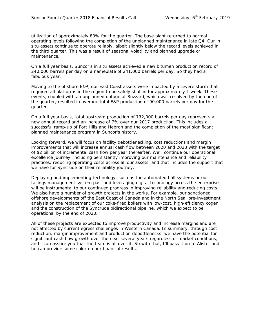utilization of approximately 80% for the quarter. The base plant returned to normal operating levels following the completion of the unplanned maintenance in late Q4. Our in situ assets continue to operate reliably, albeit slightly below the record levels achieved in the third quarter. This was a result of seasonal volatility and planned upgrade or maintenance.

On a full year basis, Suncor's in situ assets achieved a new bitumen production record of 240,000 barrels per day on a nameplate of 241,000 barrels per day. So they had a fabulous year.

Moving to the offshore E&P, our East Coast assets were impacted by a severe storm that required all platforms in the region to be safely shut-in for approximately 1 week. These events, coupled with an unplanned outage at Buzzard, which was resolved by the end of the quarter, resulted in average total E&P production of 90,000 barrels per day for the quarter.

On a full year basis, total upstream production of 732,000 barrels per day represents a new annual record and an increase of 7% over our 2017 production. This includes a successful ramp-up of Fort Hills and Hebron and the completion of the most significant planned maintenance program in Suncor's history.

Looking forward, we will focus on facility debottlenecking, cost reductions and margin improvements that will increase annual cash flow between 2020 and 2023 with the target of \$2 billion of incremental cash flow per year thereafter. We'll continue our operational excellence journey, including persistently improving our maintenance and reliability practices, reducing operating costs across all our assets, and that includes the support that we have for Syncrude on their reliability journey.

Deploying and implementing technology, such as the automated hall systems or our tailings management system past and leveraging digital technology across the enterprise will be instrumental to our continued progress in improving reliability and reducing costs. We also have a number of growth projects in the works. For example, our sanctioned offshore developments off the East Coast of Canada and in the North Sea, pre-investment analysis on the replacement of our coke-fired boilers with low-cost, high-efficiency cogen and the construction of the Syncrude bidirectional pipeline, which we expect to be operational by the end of 2020.

All of these projects are expected to improve productivity and increase margins and are not affected by current egress challenges in Western Canada. In summary, through cost reduction, margin improvement and production debottlenecks, we have the potential for significant cash flow growth over the next several years regardless of market conditions, and I can assure you that the team is all over it. So with that, I'll pass it on to Alister and he can provide some color on our financial results.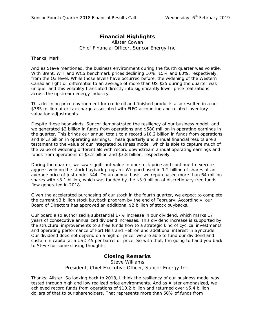# **Financial Highlights**

Alister Cowan *Chief Financial Officer, Suncor Energy Inc.*

Thanks, Mark.

And as Steve mentioned, the business environment during the fourth quarter was volatile. With Brent, WTI and WCS benchmark prices declining 10%, 15% and 60%, respectively, from the Q3 level. While those levels have occurred before, the widening of the Western Canadian light oil differential to an average of more than US \$25 during the quarter was unique, and this volatility translated directly into significantly lower price realizations across the upstream energy industry.

This declining price environment for crude oil and finished products also resulted in a net \$385 million after-tax charge associated with FIFO accounting and related inventory valuation adjustments.

Despite these headwinds, Suncor demonstrated the resiliency of our business model, and we generated \$2 billion in funds from operations and \$580 million in operating earnings in the quarter. This brings our annual totals to a record \$10.2 billion in funds from operations and \$4.3 billion in operating earnings. These quarterly and annual financial results are a testament to the value of our integrated business model, which is able to capture much of the value of widening differentials with record downstream annual operating earnings and funds from operations of \$3.2 billion and \$3.8 billion, respectively.

During the quarter, we saw significant value in our stock price and continue to execute aggressively on the stock buyback program. We purchased in 1.2 billion of shares at an average price of just under \$44. On an annual basis, we repurchased more than 64 million shares with \$3.1 billion, which was funded by the \$3.9 billion of discretionary free funds flow generated in 2018.

Given the accelerated purchasing of our stock in the fourth quarter, we expect to complete the current \$3 billion stock buyback program by the end of February. Accordingly, our Board of Directors has approved an additional \$2 billion of stock buybacks.

Our board also authorized a substantial 17% increase in our dividend, which marks 17 years of consecutive annualized dividend increases. This dividend increase is supported by the structural improvements to a free funds flow to a strategic kind of cyclical investments and operating performance of Fort Hills and Hebron and additional interest in Syncrude. Our dividend does not depend on a high oil price; we are able to fund our dividend and sustain in capital at a USD 45 per barrel oil price. So with that, I'm going to hand you back to Steve for some closing thoughts.

## **Closing Remarks**

Steve Williams *President, Chief Executive Officer, Suncor Energy Inc.*

Thanks, Alister. So looking back to 2018, I think the resiliency of our business model was tested through high and low realized price environments. And as Alister emphasized, we achieved record funds from operations of \$10.2 billion and returned over \$5.4 billion dollars of that to our shareholders. That represents more than 50% of funds from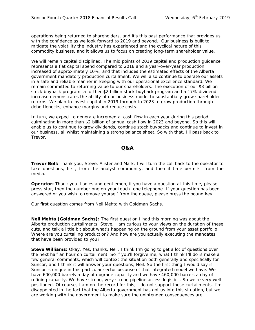operations being returned to shareholders, and it's this past performance that provides us with the confidence as we look forward to 2019 and beyond. Our business is built to mitigate the volatility the industry has experienced and the cyclical nature of this commodity business, and it allows us to focus on creating long-term shareholder value.

We will remain capital disciplined. The mid points of 2019 capital and production guidance represents a flat capital spend compared to 2018 and a year-over-year production increased of approximately 10%, and that includes the estimated effects of the Alberta government mandatory production curtailment. We will also continue to operate our assets in a safe and reliable manner in keeping with our operational excellence standard. We remain committed to returning value to our shareholders. The execution of our \$3 billion stock buyback program, a further \$2 billion stock buyback program and a 17% dividend increase demonstrates the ability of our business model to substantially grow shareholder returns. We plan to invest capital in 2019 through to 2023 to grow production through debottlenecks, enhance margins and reduce costs.

In turn, we expect to generate incremental cash flow in each year during this period, culminating in more than \$2 billion of annual cash flow in 2023 and beyond. So this will enable us to continue to grow dividends, continue stock buybacks and continue to invest in our business, all whilst maintaining a strong balance sheet. So with that, I'll pass back to Trevor.

#### **Q&A**

**Trevor Bell:** Thank you, Steve, Alister and Mark. I will turn the call back to the operator to take questions, first, from the analyst community, and then if time permits, from the media.

**Operator:** Thank you. Ladies and gentlemen, if you have a question at this time, please press star, then the number one on your touch tone telephone. If your question has been answered or you wish to remove yourself from the queue, please press the pound key.

Our first question comes from Neil Mehta with Goldman Sachs.

**Neil Mehta (Goldman Sachs):** The first question I had this morning was about the Alberta production curtailments. Steve, I am curious to your views on the duration of these cuts, and talk a little bit about what's happening on the ground from your asset portfolio. Where are you curtailing production? And how are you actually executing the mandates that have been provided to you?

**Steve Williams:** Okay. Yes, thanks, Neil. I think I'm going to get a lot of questions over the next half an hour on curtailment. So if you'll forgive me, what I think I'll do is make a few general comments, which will context the situation both generally and specifically for Suncor, and I think it will answer your questions, Neil. So the first thing I would say is Suncor is unique in this particular sector because of that integrated model we have. We have 600,000 barrels a day of upgrade capacity and we have 460,000 barrels a day of refining capacity. We have strong, very strong pipeline access logistics. So we're very well positioned. Of course, I am on the record for this, I do not support these curtailments. I'm disappointed in the fact that the Alberta government has got us into this situation, but we are working with the government to make sure the unintended consequences are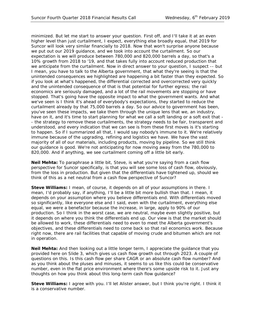minimized. But let me start to answer your question. First off, and I'll take it at an even higher level than just curtailment, I expect, everything else broadly equal, that 2019 for Suncor will look very similar financially to 2018. Now that won't surprise anyone because we put out our 2019 guidance, and we took into account the curtailment. So our expectation is we will produce between 780,000 and 820,000 barrels a day, so that's a 10% growth from 2018 to '19, and that takes fully into account reduced production that we anticipate from the curtailment. Now in direct answer to your question, I suspect -- but I mean, you have to talk to the Alberta government, that what they're seeing is that the unintended consequences we highlighted are happening a bit faster than they expected. So if you look at what's happened, the differential corrected and overcorrected very quickly and the unintended consequence of that is that potential for further egress; the rail economics are seriously damaged, and a lot of the rail movements are stopping or have stopped. That's going have the opposite impact to what the government wants. And what we've seen is I think it's ahead of everybody's expectations, they started to reduce the curtailment already by that 75,000 barrels a day. So our advice to government has been, you've seen these impacts, we take them through the unique lens that we, an industry, have on it, and it's time to start planning for what we call a soft landing or a soft exit that -- the strategy to remove these curtailments, the strategy needs to be fair, transparent and understood, and every indication that we can see is from these first moves is it's starting to happen. So if I summarized all that, I would say nobody's immune to it. We're relatively immune because of the upgrading, refining and logistics we have. We have the vast majority of all of our materials, including products, moving by pipeline. So we still think our guidance is good. We're not anticipating for now moving away from the 780,000 to 820,000. And if anything, we see curtailment coming off a little bit early.

**Neil Mehta:** To paraphrase a little bit, Steve, is what you're saying from a cash flow perspective for Suncor specifically, is that you will see some loss of cash flow, obviously, from the loss in production. But given that the differentials have tightened up, should we think of this as a net neutral from a cash flow perspective of Suncor?

**Steve Williams:** I mean, of course, it depends on all of your assumptions in there. I mean, I'd probably say, if anything, I'll be a little bit more bullish than that. I mean, it depends on your assumption where you believe differentials end. With differentials moved so significantly, like everyone else and I said, even with the curtailment, everything else equal, we were a benefactor because the increase, in large, apply to 90% of our production. So I think in the worst case, we are neutral, maybe even slightly positive, but it depends on where you think the differentials end up. Our view is that the market should be allowed to work, these differentials need to even to meet the Alberta government's objectives, and these differentials need to come back so that rail economics work. Because right now, there are rail facilities that capable of moving crude and bitumen which are not in operation.

**Neil Mehta:** And then looking out a little longer term, I appreciate the guidance that you provided here on Slide 3, which gives us cash flow growth out through 2023. A couple of questions on this. Is this cash flow per share CAGR or an absolute cash flow number? And as you think about the pluses and minuses, it seems to us like this could be conservative number, even in the flat price environment where there's some upside risk to it. Just any thoughts on how you think about this long-term cash flow guidance?

**Steve Williams:** I agree with you. I'll let Alister answer, but I think you're right. I think it is a conservative number.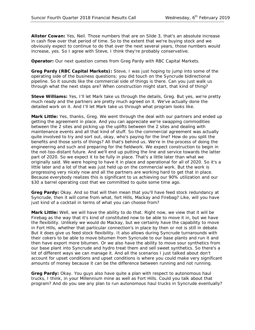**Alister Cowan:** Yes, Neil. Those numbers that are on Slide 3, that's an absolute increase in cash flow over that period of time. So to the extent that we're buying stock and we obviously expect to continue to do that over the next several years, those numbers would increase, yes. So I agree with Steve, I think they're probably conservative.

**Operator:** Our next question comes from Greg Pardy with RBC Capital Markets.

**Greg Pardy (RBC Capital Markets):** Steve, I was just hoping to jump into some of the operating side of the business questions; you did touch on the Syncrude bidirectional pipeline. So it sounds like the commercial side of things is there. Can you just walk us through what the next steps are? When construction might start, that kind of thing?

**Steve Williams:** Yes, I'll let Mark take us through the details, Greg. But yes, we're pretty much ready and the partners are pretty much agreed on it. We've actually done the detailed work on it. And I'll let Mark take us through what program looks like.

**Mark Little:** Yes, thanks, Greg. We went through the deal with our partners and ended up getting the agreement in place. And you can appreciate we're swapping commodities between the 2 sites and picking up the uplifts between the 2 sites and dealing with maintenance events and all that kind of stuff. So the commercial agreement was actually quite involved to try and sort out, okay, who's paying for the line? How do you split the benefits and those sorts of things? All that's behind us. We're in the process of doing the engineering and such and preparing for the fieldwork. We expect construction to begin in the not-too-distant future. And we'll end up putting the line and service towards the latter part of 2020. So we expect it to be fully in place. That's a little later than what we originally said. We were hoping to have it in place and operational for all of 2020. So it's a little later and a lot of that was just held up on the commercial work. But the work is progressing very nicely now and all the partners are working hard to get that in place. Because everybody realizes this is significant to us achieving our 90% utilization and our \$30 a barrel operating cost that we committed to quite some time ago.

**Greg Pardy:** Okay. And so that will then mean that you'll have feed stock redundancy at Syncrude, then it will come from what, fort Hills, Mackay and Firebag? Like, will you have just kind of a cocktail in terms of what you can choose from?

**Mark Little:** Well, we will have the ability to do that. Right now, we view that it will be Firebag as the way that it's kind of constituted now to be able to move it in, but we have the flexibility. Unlikely we would do Mackay, but we certainly have the capability to move in Fort Hills, whether that particular connection's in place by then or not is still in debate. But it does give us feed stock flexibility. It also allows during Syncrude turnarounds with their cokers to be able to move bitumen from Syncrude to our base plants and run it and then have export more bitumen. Or we also have the ability to move sour synthetics from our base plant into Syncrude and hydro treat them and sell sweet synthetics. So there's a lot of different ways we can manage it. And all the scenarios I just talked about don't account for upset conditions and upset conditions is where you could make very significant amounts of money because it can be the difference between running and not running.

**Greg Pardy:** Okay. You guys also have quite a plan with respect to autonomous haul trucks, I think, in your Millennium mine as well as Fort Hills. Could you talk about that program? And do you see any plan to run autonomous haul trucks in Syncrude eventually?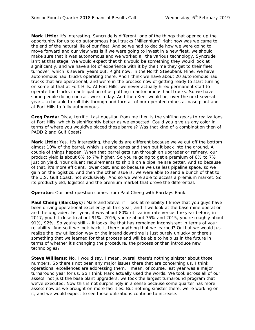**Mark Little:** It's interesting. Syncrude is different, one of the things that opened up the opportunity for us to do autonomous haul trucks [Millennium] right now was we came to the end of the natural life of our fleet. And so we had to decide how we were going to move forward and our view was is if we were going to invest in a new fleet, we should make sure that it was autonomous and we worked all the various technology. Syncrude isn't at that stage. We would expect that this would be something they would look at significantly, and we have a lot of experience with it by the time they get to their fleet turnover, which is several years out. Right now, in the North Steepbank Mine; we have autonomous haul trucks operating there. And I think we have about 20 autonomous haul trucks that are operational, and we're in the process now of getting ready to start turning on some of that at Fort Hills. At Fort Hills, we never actually hired permanent staff to operate the trucks in anticipation of us putting in autonomous haul trucks. So we have some people doing contract work today. And then Kent would be, over the next several years, to be able to roll this through and turn all of our operated mines at base plant and at Fort Hills to fully autonomous.

**Greg Pardy:** Okay, terrific. Last question from me then is the shifting gears to realizations at Fort Hills, which is significantly better as we expected. Could you give us any color in terms of where you would've placed those barrels? Was that kind of a combination then of PADD 2 and Gulf Coast?

**Mark Little:** Yes. It's interesting, the yields are different because we've cut off the bottom almost 10% of the barrel, which is asphaltenes and then put it back into the ground. A couple of things happen. When that barrel gets run through an upgrader or refinery, our product yield is about 6% to 7% higher. So you're going to get a premium of 6% to 7% just on yield. Your diluent requirements to ship it on a pipeline are better. And so because of that, it's more efficient, lower cost, and so because we use less pipeline space, so we gain on the logistics. And then the other issue is, we were able to send a bunch of that to the U.S. Gulf Coast, not exclusively. And so we were able to access a premium market. So its product yield, logistics and the premium market that drove the differential.

**Operator:** Our next question comes from Paul Cheng with Barclays Bank.

**Paul Cheng (Barclays):** Mark and Steve, if I look at reliability I know that you guys have been driving operational excellency all this year, and if we look at the base mine operation and the upgrader, last year, it was about 80% utilization rate versus the year before, in 2017, you hit close to about 91%. 2016, you're about 75% and 2015, you're roughly about 91%, 92%. So you're still -- it looks like that has remained inconsistent in terms of your reliability. And so if we look back, is there anything that we learned? Or that we would just realize the low utilization way or the intend downtime is just purely unlucky or there's something that we learned for that process and will be able to help us in the future in terms of whether it's changing the procedure, the process or then introduce new technologies?

**Steve Williams:** No, I would say, I mean, overall there's nothing sinister about those numbers. So there's not been any major issues there that are concerning us. I think operational excellences are addressing them. I mean, of course, last year was a major turnaround year for us. So I think Mark actually used the words. We took across all of our assets, not just the base plant upgraders, we took the largest turnaround program that we've executed. Now this is not surprisingly in a sense because some quarter has more assets now as we brought on more facilities. But nothing sinister there, we're working on it, and we would expect to see those utilizations continue to increase.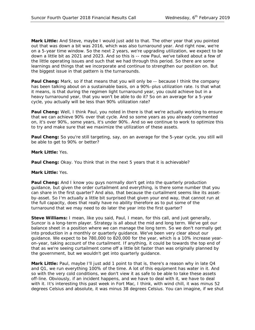**Mark Little:** And Steve, maybe I would just add to that. The other year that you pointed out that was down a bit was 2016, which was also turnaround year. And right now, we're on a 5-year time window. So the next 2 years, we're upgrading utilization, we expect to be down a little bit as 2021 and 2023. And so this is -- now Paul, we've talked about a few of the little operating issues and such that we had through this period. So there are some learnings and things that we incorporate and continue to strengthen our position on. But the biggest issue in that pattern is the turnarounds.

**Paul Cheng:** Mark, so if that means that you will only be -- because I think the company has been talking about on a sustainable basis, on a 90%-plus utilization rate. Is that what it means, is that during the regimen light turnaround year, you could achieve but in a heavy turnaround year, that you won't be able to do it? So on an average for a 5-year cycle, you actually will be less than 90% utilization rate?

**Paul Cheng:** Well, I think Paul, you noted in there is that we're actually working to ensure that we can achieve 90% over that cycle. And so some years as you already commented on, it's over 90%, some years, it's under 90%. And so we continue to work to optimize this to try and make sure that we maximize the utilization of these assets.

**Paul Cheng:** So you're still targeting, say, on an average for the 5-year cycle, you still will be able to get to 90% or better?

**Mark Little:** Yes.

**Paul Cheng:** Okay. You think that in the next 5 years that it is achievable?

#### **Mark Little:** Yes.

**Paul Cheng:** And I know you guys normally don't get into the quarterly production guidance, but given the order curtailment and everything, is there some number that you can share in the first quarter? And also, that because the curtailment seems like its assetby-asset. So I'm actually a little bit surprised that given your end way, that cannot run at the full capacity, does that really have no ability therefore as to put some of the turnaround that we may need to do later the year into the first quarter?

**Steve Williams:** I mean, like you said, Paul, I mean, for this call, and just generally, Suncor is a long-term player. Strategy is all about the mid and long term. We've got our balance sheet in a position where we can manage the long term. So we don't normally get into production in a monthly or quarterly guidance. We've been very clear about our guidance. We expect to be 780,000 to 820,000 for the year, which is a 10% increase yearon-year, taking account of the curtailment. If anything, it could be towards the top end of that as we're seeing curtailment come off a little bit faster than was originally planned by the government, but we wouldn't get into quarterly guidance.

**Mark Little:** Paul, maybe I'll just add 1 point to that is, there's a reason why in late Q4 and Q1, we run everything 100% of the time. A lot of this equipment has water in it. And so with the very cold conditions, we don't view it as safe to be able to take these assets off-line. Obviously, if an incident happens, and we have to deal with it, we have to deal with it. It's interesting this past week in Fort Mac, I think, with wind chill, it was minus 52 degrees Celsius and absolute, it was minus 38 degrees Celsius. You can imagine, if we shut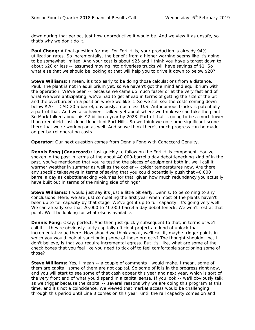down during that period, just how unproductive it would be. And we view it as unsafe, so that's why we don't do it.

**Paul Cheng:** A final question for me. For Fort Hills, your production is already 94% utilization rates. So incrementally, the benefit from a higher warning seems like it's going to be somewhat limited. And your cost is about \$25 and I think you have a target down to about \$20 or less -- assumed moving into driverless trucks will have savings of \$1. So what else that we should be looking at that will help you to drive it down to below \$20?

**Steve Williams:** I mean, it's too early to be doing those calculations from a distance, Paul. The plant is not in equilibrium yet, so we haven't got the mind and equilibrium with the operation. We've been -- because we came up much faster or at the very fast end of what we were anticipating, we've had to get ahead in terms of getting the size of the pit and the overburden in a position where we like it. So we still see the costs coming down below \$20 -- CAD 20 a barrel, obviously, much less U.S. Autonomous trucks is potentially a part of that. And we also haven't talked yet about where we think we can take the plant. So Mark talked about his \$2 billion a year by 2023. Part of that is going to be a much lower than greenfield cost debottleneck of Fort Hills. So we think we got some significant scope there that we're working on as well. And so we think there's much progress can be made on per barrel operating costs.

**Operator:** Our next question comes from Dennis Fong with Canaccord Genuity.

**Dennis Fong (Canaccord):** Just quickly to follow on the Fort Hills component. You've spoken in the past in terms of the about 40,000-barrel a day debottlenecking kind of in the past, you've mentioned that you're testing the pieces of equipment both in, we'll call it, warmer weather in summer as well as the cooler -- colder temperatures now. Are there any specific takeaways in terms of saying that you could potentially push that 40,000 barrel a day as debottlenecking volumes for that, given how much redundancy you actually have built out in terms of the mining side of things?

**Steve Williams:** I would just say it's just a little bit early, Dennis, to be coming to any conclusions. Here, we are just completing the first year when most of the plants haven't been up to full capacity by that stage. We've got it up to full capacity. It's going very well. We can already see that 20,000 to 40,000-barrel a day debottleneck. We won't rest at that point. We'll be looking for what else is available.

**Dennis Fong:** Okay, perfect. And then just quickly subsequent to that, in terms of we'll call it -- they're obviously fairly capitally efficient projects to kind of unlock that incremental value there. How should we think about, we'll call it, maybe trigger points in which you would look at sanctioning some of those projects? The thought shouldn't be, I don't believe, is that you require incremental egress. But it's, like, what are some of the check boxes that you feel like you need to tick off to feel comfortable sanctioning some of those?

**Steve Williams:** Yes, I mean -- a couple of comments I would make. I mean, some of them are capital, some of them are not capital. So some of it is in the progress right now, and you will start to see some of that cash appear this year and next year, which is sort of the very front end of what you'd spend in a capital sense. If you look -- we'll obviously talk as we trigger because the capital -- several reasons why we are doing this program at this time, and it's not a coincidence. We viewed that market access would be challenging through this period until Line 3 comes on this year, until the rail capacity comes on and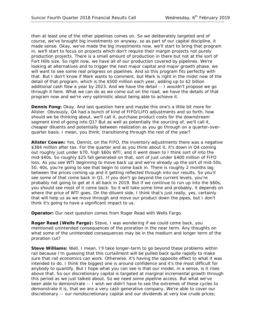then at least one of the other pipelines comes on. So we deliberately targeted and of course, we've brought big investments on anyway, so as part of our capital discipline, it made sense. Okay, we've made the big investments now, we'll start to bring that program in, we'll start to focus on projects which don't require their margin projects not purely production projects. There is a small amount of production in there but not at the sort of Fort Hills size. So right now, we have all of our production covered by pipelines. We're looking at alternatives and to trigger the next major capital and major growth phase, we will want to see some real progress on pipelines. And so this program fits perfectly with that. But I don't know if Mark wants to comment, but Mark is right in the midst now of the detail of that program, which is the \$500 million each year, adding up to \$2 billion additional cash flow a year by 2023. And we have the detail -- I wouldn't propose we go through it here. What we can do as we come out on the road, we have the details of that program now and we're very optimistic about being able to achieve it.

**Dennis Fong:** Okay. And last question here and maybe this one's a little bit more for Alister. Obviously, Q4 had a bunch of kind of FIFO/LIFO adjustments and so forth, how should we be thinking about, we'll call it, purchase product costs for the downstream segment kind of going into Q1? But as well as potentially the sourcing of, we'll call it, cheaper diluents and potentially between realization as you go through on a quarter-overquarter basis, I mean, you think, transitioning through the rest of the year?

**Alister Cowan:** Yes, Dennis, on the FIFO, the inventory adjustments there was a negative \$384 million after tax. For the quarter and as you think about it, it's down in Q4 coming out roughly just under \$70, high \$60s WTI, and it went down to I think sort of into the mid-\$40s. So roughly \$25 fall generated on that, sort of just under \$400 million of FIFO loss. As you see WTI beginning to move back up and we're already up the sort of mid-50s, 50, 40s, you're going to see that begin to come back in. There is roughly 2 months lag between the prices coming up and it getting reflected through into our results. So you'll see some of that come back in Q1. If you don't go beyond the current levels, you're probably not going to get at it all back in 2019. But if we continue to run up into the \$60s, you should see most of it come back. So it will take some time and probably, it depends on where the price of WTI goes. On the diluent side, I think that's just really, yes, certainly that will help us as we move through and move our product down the pipes, but I don't think it's going to have a significant impact to us.

**Operator:** Our next question comes from Roger Read with Wells Fargo.

**Roger Read (Wells Fargo):** Steve, I was wondering if we could come back, you mentioned unintended consequences of the proration in the near term. Any thoughts on what some of the unintended consequences may be in the medium and longer term of the proration cut?

**Steve Williams:** Well, I mean, I'll take longer-term to go beyond these problems within rail because I'm guessing that this curtailment will be pulled back quite rapidly to make sure that rail economics can work. Otherwise, it's having the opposite effect to what it was intended to do. I think the biggest one is around confidence and it's the most difficult for anybody to quantify. But I hope what you can see is that our model, in a sense, is it rises above that. So our discretionary capital is targeted at marginal incremental growth through this period as we just talked about. So we need some pipeline access. But what we've been able to demonstrate -- I wish we didn't have to see the extremes of these cycles to demonstrate it is, that we are a very cash generative company. We're able to cover our discretionary -- our nondiscretionary capital and our dividends at very low crude prices;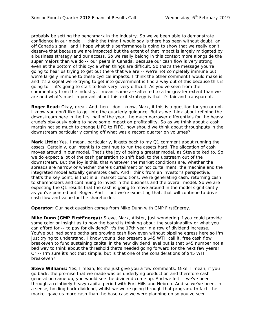probably be setting the benchmark in the industry. So we've been able to demonstrate confidence in our model. I think the thing I would say is there has been without doubt, an off Canada signal, and I hope what this performance is going to show that we really don't deserve that because we are impacted but the extent of that impact is largely mitigated by a business strategy and our access. So we really belong in this context more alongside the super majors than we do -- our peers in Canada. Because our cash flow is very strong even at the bottom of this cycle when things are difficult. So that's the message you're going to hear us trying to get out there that we are -- we're not completely immune but we're largely immune to these cyclical impacts. I think the other comment I would make is and it's a signal we're trying to get into government is find a way out of this because this is going to -- it's going to start to look very, very difficult. As you've seen from the commentary from the industry, I mean, some are affected to a far greater extent than we are and what's most important about this exit strategy is that it's fair and transparent.

**Roger Read:** Okay, great. And then I don't know, Mark, if this is a question for you or not. I know you don't like to get into the quarterly guidance. But as we think about refining the downstream here in the first half of the year, the much narrower differentials for the heavy crude's obviously going to have some impact on profitability. So as we think about a cash margin not so much to change LIFO to FIFO, how should we think about throughputs in the downstream particularly coming off what was a record quarter on volumes?

**Mark Little:** Yes. I mean, particularly, it gets back to my Q1 comment about running the assets. Certainly, our intent is to continue to run the assets hard. The allocation of cash moves around in our model. That's the joy of being a greater model, as Steve talked to. So we do expect a lot of the cash generation to shift back to the upstream out of the downstream. But the joy is this, that whatever the market conditions are, whether the spreads are narrow or whether there's curtailment or not curtailment, the machine and the integrated model actually generates cash. And I think from an investor's perspective, that's the key point, is that in all market conditions, we're generating cash, returning cash to shareholders and continuing to invest in the business and the overall model. So we are expecting the Q1 results that the cash is going to move around in the model significantly as you've pointed out, Roger. And -- but we're expecting that, that will continue to drive cash flow and value for the shareholder.

**Operator:** Our next question comes from Mike Dunn with GMP FirstEnergy.

**Mike Dunn (GMP FirstEnergy):** Steve, Mark, Alister, just wondering if you could provide some color or insight as to how the board is thinking about the sustainability or what you can afford for -- to pay for dividend? It's the 17th year in a row of dividend increase. You've outlined some paths are growing cash flow even without pipeline egress here so I'm just trying to understand. I know your slides present a \$45 WTI, call it, free cash flow breakeven to fund sustaining capital in the new dividend level but is that \$45 number not a bad way to think about the threshold that's needed going forward for the next few years? Or -- I'm sure it's not that simple, but is that one of the considerations of \$45 WTI breakeven?

**Steve Williams:** Yes, I mean, let me just give you a few comments, Mike. I mean, if you go back, the promise that we made was as underlying production and therefore cash generation came up, you would see the dividend come up. And we felt -- we've been through a relatively heavy capital period with Fort Hills and Hebron. And so we've been, in a sense, holding back dividend, whilst we we're going through that program. In fact, the market gave us more cash than the base case we were planning on so you've seen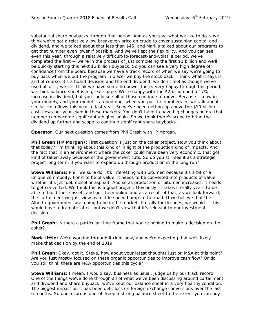substantial share buybacks through that period. And as you say, what we like to do is we think we've got a relatively low breakeven price on crude to cover sustaining capital and dividend, and we talked about that less than \$45, and Mark's talked about our programs to get that number even lower if possible. And we've kept the flexibility. And you can see even this year, through a relatively difficult-to-forecast-and-volatile period, we've completed the first -- we're in the process of just completing the first \$3 billion and we'll be quickly starting this next \$2 billion buyback. So you can see a very high degree of confidence from the board because we have a track record of when we say we're going to buy back when we put the program in place, we buy the stock back. I think what it says is, and of course, it's a board decision and the end dividend, we don't feel as though we've used all of it, we still think we have some firepower there. Very happy through this period, we think balance sheet is in great shape. We're happy with the \$2 billion and a 17% increase in dividend, but you could see all of those continue to move. Because I know in your models, and your model is a good one, when you put the numbers in, we talk about similar cash flows this year to last year. So we've been getting up above the \$10 billion cash flows per year even in these markets. You don't have to have big changes before that number can become significantly higher again. So we think there's scope to bring the dividend up further and scope to continue significant share buybacks.

**Operator:** Our next question comes from Phil Gresh with JP Morgan.

**Phil Gresh (JP Morgan):** First question is just on the coker project. How you think about that today? I'm thinking about this kind of in light of the production kind of impacts. And the fact that in an environment where the coker could have been very economic, that got kind of taken away because of the government cuts. So do you still see it as a strategic project long term, if you want to expand up through production in the long run?

**Steve Williams:** Phil, we sure do. It's interesting with bitumen because it's a bit of a unique commodity. For it to be of value, it needs to be converted into products of value, whether it's jet fuel, diesel or asphalt. And so as production of bitumen increases, it needs to get converted. We think this is a good project. Obviously, it takes literally years to be able to build these assets and get them online and as a result of that, as we look forward, the curtailment we just view as a little speed bump in the road. If we believe that the Alberta government was going to be in the markets literally for decades, we would -- this would have a dramatic affect but we don't view that it's relevant to our investment decision.

**Phil Gresh:** Is there a particular time frame that you're hoping to make a decision on the coker?

**Mark Little:** We're working through it right now, and we're expecting that we'll likely make that decision by the end of 2019.

**Phil Gresh:** Okay, got it. Steve, how about your latest thoughts just on M&A at this point? Are you just mostly focused on these organic opportunities to improve cash flow? Or do you still think there are M&A opportunities this cycle?

**Steve Williams:** I mean, I would say, business as usual, judge us by our track record. One of the things we've done through all of what we've been discussing around curtailment and dividend and share buyback, we've kept our balance sheet in a very healthy condition. The biggest impact on it has been debt loss on foreign exchange conversions over the last 6 months. So our record is one-off keep a strong balance sheet to the extent you can buy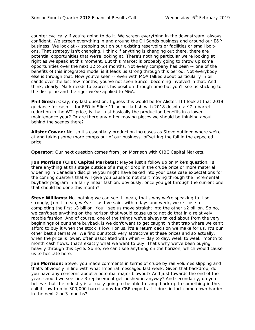counter cyclically if you're going to do it. We screen everything in the downstream, always confident. We screen everything in and around the Oil Sands business and around our E&P business. We look at -- stepping out on our existing reservoirs or facilities or small boltons. That strategy isn't changing. I think if anything is changing out there, there are potential opportunities that we're looking at. There's nothing particular we're looking at right as we speak at this moment. But this market is probably going to throw up some opportunities over the next 12 to 24 months. Not every company has been -- one of the benefits of this integrated model is it leads us strong through this period. Not everybody else is through that. Now you've seen -- even with M&A talked about particularly in oil sands over the last few months, you've not seen Suncor becoming involved in that. And I think, clearly, Mark needs to express his position through time but you'll see us sticking to the discipline and the rigor we've applied to M&A.

**Phil Gresh:** Okay, my last question. I guess this would be for Alister. If I look at that 2019 guidance for cash -- for FFO in Slide 11 being flattish with 2018 despite a \$7 a barrel reduction in the WTI price, is that just basically the production benefits in a lower maintenance year? Or are there any other moving pieces we should be thinking about behind the scenes there?

**Alister Cowan:** No, so it's essentially production increases as Steve outlined where we're at and taking some more comps out of our business, offsetting the fall in the expected price.

**Operator:** Our next question comes from Jon Morrison with CIBC Capital Markets.

**Jon Morrison (CIBC Capital Markets):** Maybe just a follow up on Mike's question. Is there anything at this stage outside of a major drop in the crude price or more material widening in Canadian discipline you might have baked into your base case expectations for the coming quarters that will give you pause to not start moving through the incremental buyback program in a fairly linear fashion, obviously, once you get through the current one that should be done this month?

**Steve Williams:** No, nothing we can see. I mean, that's why we're speaking to it so strongly, Jon. I mean, we've -- as I've said, within days and week, we're close to completing the first \$3 billion. You'll see us move straight into the other \$2 billion. So no, we can't see anything on the horizon that would cause us to not do that in a relatively ratable fashion. And of course, one of the things we've always talked about from the very beginnings of our share buyback is we don't want to get caught in that trap where we can't afford to buy it when the stock is low. For us, it's a return decision we make for us. It's our other best alternative. We find our stock very attractive at these prices and so actually, when the price is lower, often associated with when -- day to day, week to week, month to month cash flows, that's exactly what we want to buy. That's why we've been buying heavily through this cycle. So no, we can't see anything on the horizon, which would cause us to hesitate here.

Jon Morrison: Steve, you made comments in terms of crude by rail volumes slipping and that's obviously in line with what Imperial messaged last week. Given that backdrop, do you have any concerns about a potential major blowout? And just towards the end of the year, should we see Line 3 replacement get pushed in anyway? And secondarily, do you believe that the industry is actually going to be able to ramp back up to something in the, call it, low to mid-300,000 barrel a day for CBR exports if it does in fact come down harder in the next 2 or 3 months?